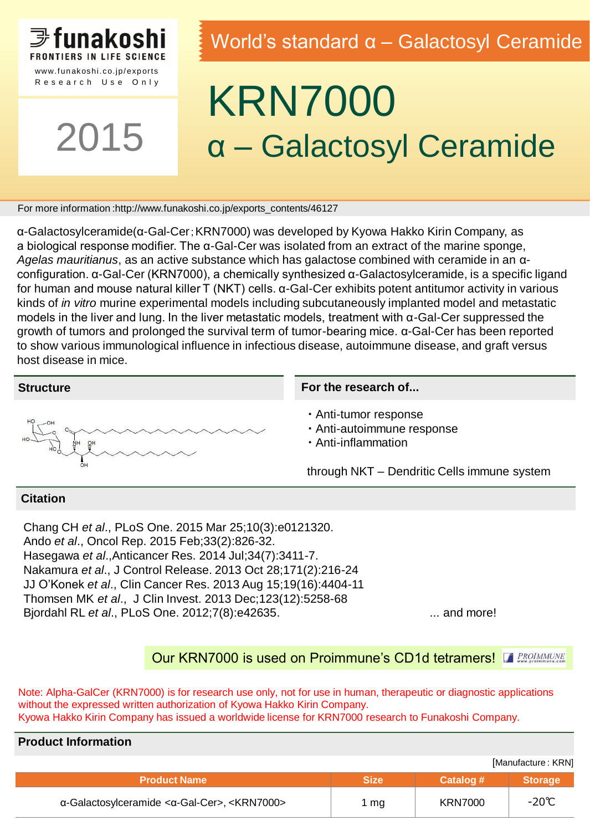

Research Use Only

2015

### World's standard α – Galactosyl Ceramide

## KRN7000 α – Galactosyl Ceramide

For more information :http://www.funakoshi.co.jp/exports\_contents/46127

α-Galactosylceramide(α-Gal-Cer;KRN7000) was developed by Kyowa Hakko Kirin Company, as a biological response modifier. The α-Gal-Cer was isolated from an extract of the marine sponge, *Agelas mauritianus*, as an active substance which has galactose combined with ceramide in an αconfiguration. α-Gal-Cer (KRN7000), a chemically synthesized α-Galactosylceramide, is a specific ligand for human and mouse natural killer T (NKT) cells. α-Gal-Cer exhibits potent antitumor activity in various kinds of *in vitro* murine experimental models including subcutaneously implanted model and metastatic models in the liver and lung. In the liver metastatic models, treatment with α-Gal-Cer suppressed the growth of tumors and prolonged the survival term of tumor-bearing mice. α-Gal-Cer has been reported to show various immunological influence in infectious disease, autoimmune disease, and graft versus host disease in mice.

#### **Structure**



#### **For the research of...**

・ Anti-tumor response

- ・ Anti-autoimmune response
- ・ Anti-inflammation

through NKT – Dendritic Cells immune system

#### **Citation**

Chang CH *et al*., PLoS One. 2015 Mar 25;10(3):e0121320. Ando *et al*., Oncol Rep. 2015 Feb;33(2):826-32. Hasegawa *et al*.,Anticancer Res. 2014 Jul;34(7):3411-7. Nakamura *et al*., J Control Release. 2013 Oct 28;171(2):216-24 JJ O'Konek *et al*., Clin Cancer Res. 2013 Aug 15;19(16):4404-11 Thomsen MK *et al*., J Clin Invest. 2013 Dec;123(12):5258-68 Bjordahl RL *et al.*, PLoS One. 2012;7(8):e42635. ... ... ... ... ... ... and more!

### Our KRN7000 is used on Proimmune's CD1d tetramers! **FRACIAMATIVE**

Note: Alpha-GalCer (KRN7000) is for research use only, not for use in human, therapeutic or diagnostic applications without the expressed written authorization of Kyowa Hakko Kirin Company. Kyowa Hakko Kirin Company has issued a worldwide license for KRN7000 research to Funakoshi Company.

| <b>Product Information</b>                            |             |                |                |  |  |  |  |
|-------------------------------------------------------|-------------|----------------|----------------|--|--|--|--|
| [Manufacture: KRN]                                    |             |                |                |  |  |  |  |
| <b>Product Name</b>                                   | <b>Size</b> | Catalog #      | <b>Storage</b> |  |  |  |  |
| α-Galactosylceramide <α-Gal-Cer>, <krn7000></krn7000> | 1 mg        | <b>KRN7000</b> | -20℃           |  |  |  |  |